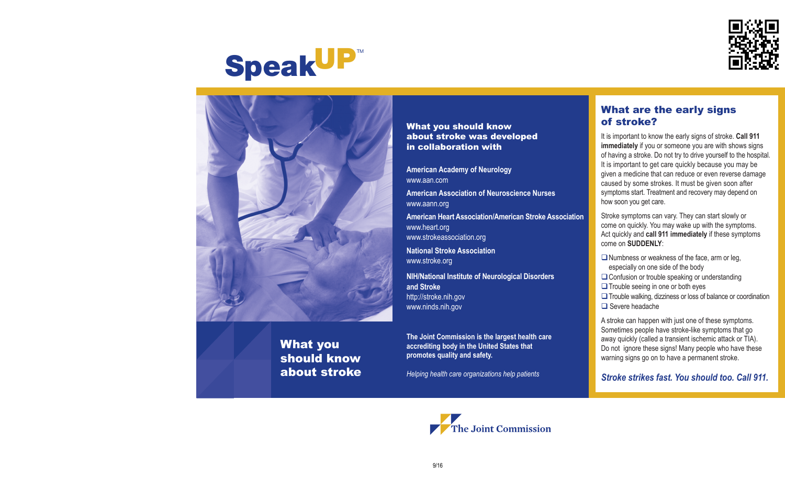

# **SpeakUP**™



What you should know about stroke

What you should know about stroke was developed in collaboration with

**American Academy of Neurology** www.aan.com

**American Association of Neuroscience Nurses** www.aann.org

**American Heart Association/American Stroke Association** www.heart.org www.strokeassociation.org

**National Stroke Association** www.stroke.org

**NIH/National Institute of Neurological Disorders and Stroke** http://stroke.nih.gov www.ninds.nih.gov

**The Joint Commission is the largest health care accrediting body in the United States that promotes quality and safety.**

*Helping health care organizations help patients*

# What are the early signs of stroke?

It is important to know the early signs of stroke. **Call 911 immediately** if you or someone you are with shows signs of having a stroke. Do not try to drive yourself to the hospital. It is important to get care quickly because you may be given a medicine that can reduce or even reverse damage caused by some strokes. It must be given soon after symptoms start. Treatment and recovery may depend on how soon you get care.

Stroke symptoms can vary. They can start slowly or come on quickly. You may wake up with the symptoms. Act quickly and **call 911 immediately** if these symptoms come on **SUDDENLY**:

- $\square$  Numbness or weakness of the face, arm or leg, especially on one side of the body
- $\Box$  Confusion or trouble speaking or understanding  $\Box$  Trouble seeing in one or both eyes

 $\Box$  Trouble walking, dizziness or loss of balance or coordination  $\Box$  Severe headache

A stroke can happen with just one of these symptoms. Sometimes people have stroke-like symptoms that go away quickly (called a transient ischemic attack or TIA). Do not ignore these signs! Many people who have these warning signs go on to have a permanent stroke.

*Stroke strikes fast. You should too. Call 911.*